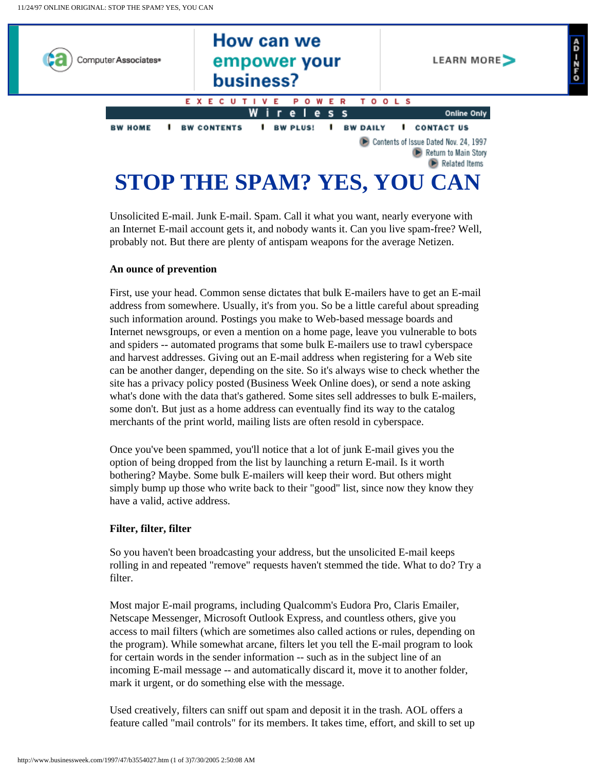<span id="page-0-0"></span>

Unsolicited E-mail. Junk E-mail. Spam. Call it what you want, nearly everyone with an Internet E-mail account gets it, and nobody wants it. Can you live spam-free? Well, probably not. But there are plenty of antispam weapons for the average Netizen.

#### **An ounce of prevention**

First, use your head. Common sense dictates that bulk E-mailers have to get an E-mail address from somewhere. Usually, it's from you. So be a little careful about spreading such information around. Postings you make to Web-based message boards and Internet newsgroups, or even a mention on a home page, leave you vulnerable to bots and spiders -- automated programs that some bulk E-mailers use to trawl cyberspace and harvest addresses. Giving out an E-mail address when registering for a Web site can be another danger, depending on the site. So it's always wise to check whether the site has a privacy policy posted (Business Week Online does), or send a note asking what's done with the data that's gathered. Some sites sell addresses to bulk E-mailers, some don't. But just as a home address can eventually find its way to the catalog merchants of the print world, mailing lists are often resold in cyberspace.

Once you've been spammed, you'll notice that a lot of junk E-mail gives you the option of being dropped from the list by launching a return E-mail. Is it worth bothering? Maybe. Some bulk E-mailers will keep their word. But others might simply bump up those who write back to their "good" list, since now they know they have a valid, active address.

#### **Filter, filter, filter**

So you haven't been broadcasting your address, but the unsolicited E-mail keeps rolling in and repeated "remove" requests haven't stemmed the tide. What to do? Try a filter.

Most major E-mail programs, including Qualcomm's Eudora Pro, Claris Emailer, Netscape Messenger, Microsoft Outlook Express, and countless others, give you access to mail filters (which are sometimes also called actions or rules, depending on the program). While somewhat arcane, filters let you tell the E-mail program to look for certain words in the sender information -- such as in the subject line of an incoming E-mail message -- and automatically discard it, move it to another folder, mark it urgent, or do something else with the message.

Used creatively, filters can sniff out spam and deposit it in the trash. AOL offers a feature called "mail controls" for its members. It takes time, effort, and skill to set up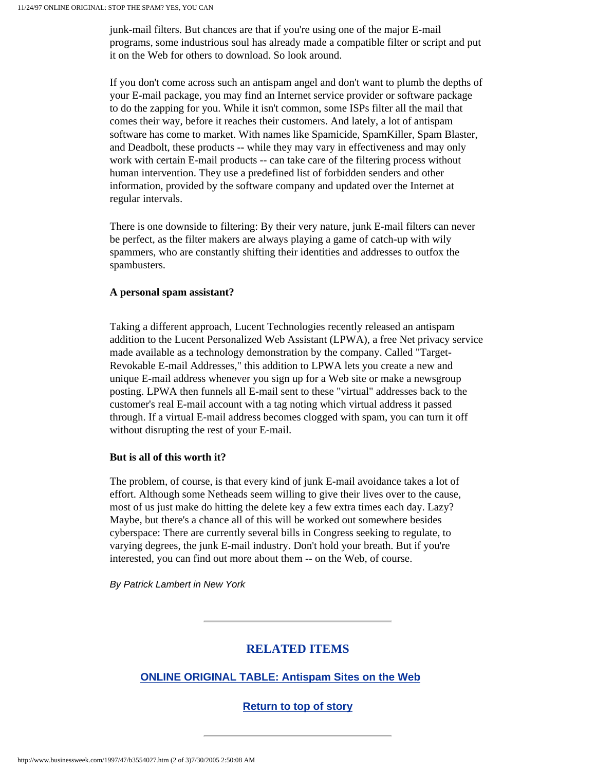junk-mail filters. But chances are that if you're using one of the major E-mail programs, some industrious soul has already made a compatible filter or script and put it on the Web for others to download. So look around.

If you don't come across such an antispam angel and don't want to plumb the depths of your E-mail package, you may find an Internet service provider or software package to do the zapping for you. While it isn't common, some ISPs filter all the mail that comes their way, before it reaches their customers. And lately, a lot of antispam software has come to market. With names like Spamicide, SpamKiller, Spam Blaster, and Deadbolt, these products -- while they may vary in effectiveness and may only work with certain E-mail products -- can take care of the filtering process without human intervention. They use a predefined list of forbidden senders and other information, provided by the software company and updated over the Internet at regular intervals.

There is one downside to filtering: By their very nature, junk E-mail filters can never be perfect, as the filter makers are always playing a game of catch-up with wily spammers, who are constantly shifting their identities and addresses to outfox the spambusters.

### **A personal spam assistant?**

Taking a different approach, Lucent Technologies recently released an antispam addition to the Lucent Personalized Web Assistant (LPWA), a free Net privacy service made available as a technology demonstration by the company. Called "Target-Revokable E-mail Addresses," this addition to LPWA lets you create a new and unique E-mail address whenever you sign up for a Web site or make a newsgroup posting. LPWA then funnels all E-mail sent to these "virtual" addresses back to the customer's real E-mail account with a tag noting which virtual address it passed through. If a virtual E-mail address becomes clogged with spam, you can turn it off without disrupting the rest of your E-mail.

#### **But is all of this worth it?**

The problem, of course, is that every kind of junk E-mail avoidance takes a lot of effort. Although some Netheads seem willing to give their lives over to the cause, most of us just make do hitting the delete key a few extra times each day. Lazy? Maybe, but there's a chance all of this will be worked out somewhere besides cyberspace: There are currently several bills in Congress seeking to regulate, to varying degrees, the junk E-mail industry. Don't hold your breath. But if you're interested, you can find out more about them -- on the Web, of course.

*By Patrick Lambert in New York* 

## **RELATED ITEMS**

## **[ONLINE ORIGINAL TABLE: Antispam Sites on the Web](http://www.businessweek.com/1997/47/b3554028.htm)**

**[Return to top of story](#page-0-0)**